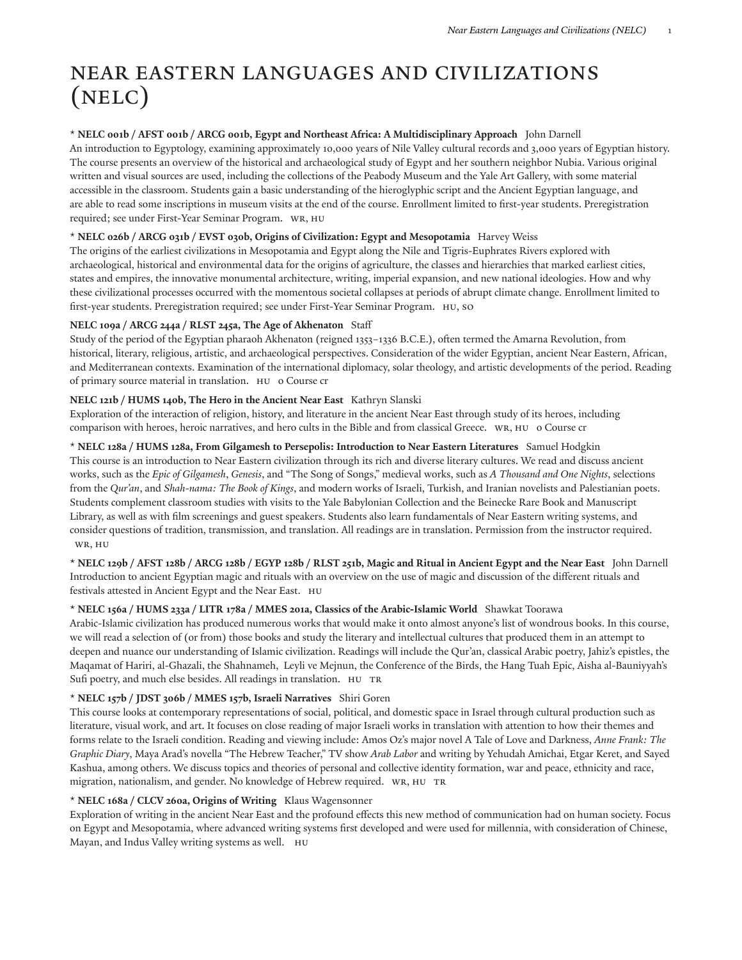# Near Eastern Languages and Civilizations (NELC)

# **\* NELC 001b / AFST 001b / ARCG 001b, Egypt and Northeast Africa: A Multidisciplinary Approach** John Darnell

An introduction to Egyptology, examining approximately 10,000 years of Nile Valley cultural records and 3,000 years of Egyptian history. The course presents an overview of the historical and archaeological study of Egypt and her southern neighbor Nubia. Various original written and visual sources are used, including the collections of the Peabody Museum and the Yale Art Gallery, with some material accessible in the classroom. Students gain a basic understanding of the hieroglyphic script and the Ancient Egyptian language, and are able to read some inscriptions in museum visits at the end of the course. Enrollment limited to first-year students. Preregistration required; see under First-Year Seminar Program. WR, HU

# **\* NELC 026b / ARCG 031b / EVST 030b, Origins of Civilization: Egypt and Mesopotamia** Harvey Weiss

The origins of the earliest civilizations in Mesopotamia and Egypt along the Nile and Tigris-Euphrates Rivers explored with archaeological, historical and environmental data for the origins of agriculture, the classes and hierarchies that marked earliest cities, states and empires, the innovative monumental architecture, writing, imperial expansion, and new national ideologies. How and why these civilizational processes occurred with the momentous societal collapses at periods of abrupt climate change. Enrollment limited to first-year students. Preregistration required; see under First-Year Seminar Program. HU, SO

#### **NELC 109a / ARCG 244a / RLST 245a, The Age of Akhenaton** Staff

Study of the period of the Egyptian pharaoh Akhenaton (reigned 1353-1336 B.C.E.), often termed the Amarna Revolution, from historical, literary, religious, artistic, and archaeological perspectives. Consideration of the wider Egyptian, ancient Near Eastern, African, and Mediterranean contexts. Examination of the international diplomacy, solar theology, and artistic developments of the period. Reading of primary source material in translation. HU 0 Course cr

#### **NELC 121b / HUMS 140b, The Hero in the Ancient Near East** Kathryn Slanski

Exploration of the interaction of religion, history, and literature in the ancient Near East through study of its heroes, including comparison with heroes, heroic narratives, and hero cults in the Bible and from classical Greece. WR, HU 0 Course cr

**\* NELC 128a / HUMS 128a, From Gilgamesh to Persepolis: Introduction to Near Eastern Literatures** Samuel Hodgkin This course is an introduction to Near Eastern civilization through its rich and diverse literary cultures. We read and discuss ancient works, such as the *Epic of Gilgamesh*, *Genesis*, and "The Song of Songs," medieval works, such as *A Thousand and One Nights*, selections from the *Qur'an*, and *Shah-nama: The Book of Kings*, and modern works of Israeli, Turkish, and Iranian novelists and Palestianian poets. Students complement classroom studies with visits to the Yale Babylonian Collection and the Beinecke Rare Book and Manuscript Library, as well as with film screenings and guest speakers. Students also learn fundamentals of Near Eastern writing systems, and consider questions of tradition, transmission, and translation. All readings are in translation. Permission from the instructor required. WR, HU

\* NELC 129b / AFST 128b / ARCG 128b / EGYP 128b / RLST 251b, Magic and Ritual in Ancient Egypt and the Near East John Darnell Introduction to ancient Egyptian magic and rituals with an overview on the use of magic and discussion of the different rituals and festivals attested in Ancient Egypt and the Near East. HU

# **\* NELC 156a / HUMS 233a / LITR 178a / MMES 201a, Classics of the Arabic-Islamic World** Shawkat Toorawa

Arabic-Islamic civilization has produced numerous works that would make it onto almost anyone's list of wondrous books. In this course, we will read a selection of (or from) those books and study the literary and intellectual cultures that produced them in an attempt to deepen and nuance our understanding of Islamic civilization. Readings will include the Qur'an, classical Arabic poetry, Jahiz's epistles, the Maqamat of Hariri, al-Ghazali, the Shahnameh, Leyli ve Mejnun, the Conference of the Birds, the Hang Tuah Epic, Aisha al-Bauniyyah's Sufi poetry, and much else besides. All readings in translation. HU Tr

#### **\* NELC 157b / JDST 306b / MMES 157b, Israeli Narratives** Shiri Goren

This course looks at contemporary representations of social, political, and domestic space in Israel through cultural production such as literature, visual work, and art. It focuses on close reading of major Israeli works in translation with attention to how their themes and forms relate to the Israeli condition. Reading and viewing include: Amos Oz's major novel A Tale of Love and Darkness, *Anne Frank: The Graphic Diary*, Maya Arad's novella "The Hebrew Teacher," TV show *Arab Labor* and writing by Yehudah Amichai, Etgar Keret, and Sayed Kashua, among others. We discuss topics and theories of personal and collective identity formation, war and peace, ethnicity and race, migration, nationalism, and gender. No knowledge of Hebrew required. WR, HU Tr

# **\* NELC 168a / CLCV 260a, Origins of Writing** Klaus Wagensonner

Exploration of writing in the ancient Near East and the profound effects this new method of communication had on human society. Focus on Egypt and Mesopotamia, where advanced writing systems first developed and were used for millennia, with consideration of Chinese, Mayan, and Indus Valley writing systems as well. HU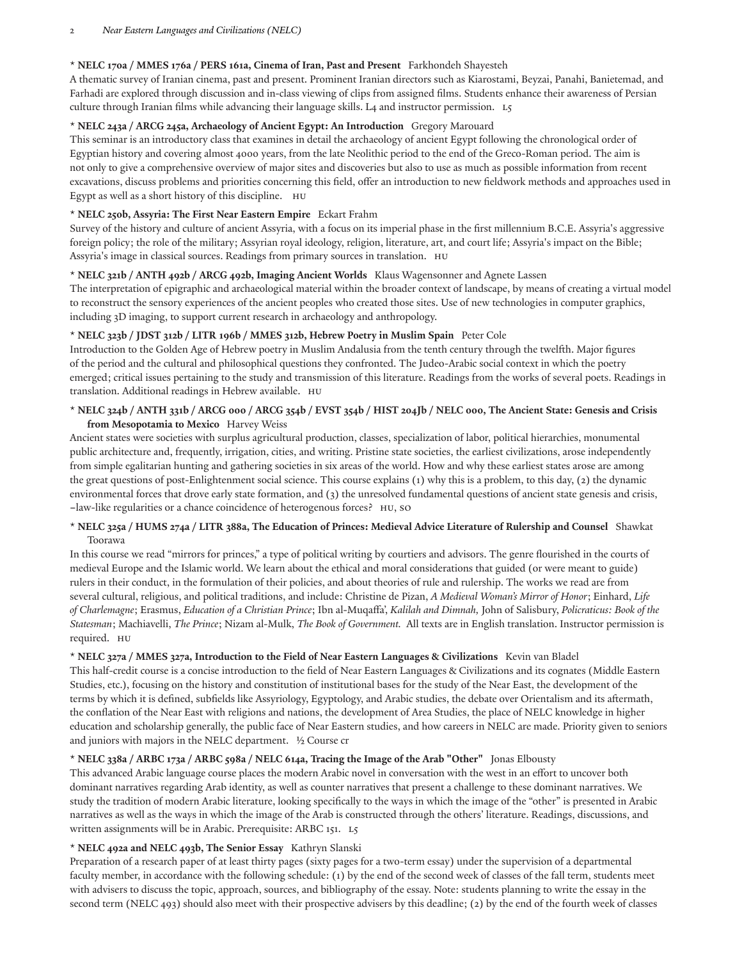#### 2 *Near Eastern Languages and Civilizations (NELC)*

#### **\* NELC 170a / MMES 176a / PERS 161a, Cinema of Iran, Past and Present** Farkhondeh Shayesteh

A thematic survey of Iranian cinema, past and present. Prominent Iranian directors such as Kiarostami, Beyzai, Panahi, Banietemad, and Farhadi are explored through discussion and in-class viewing of clips from assigned films. Students enhance their awareness of Persian culture through Iranian films while advancing their language skills. L4 and instructor permission. L5

# **\* NELC 243a / ARCG 245a, Archaeology of Ancient Egypt: An Introduction** Gregory Marouard

This seminar is an introductory class that examines in detail the archaeology of ancient Egypt following the chronological order of Egyptian history and covering almost 4000 years, from the late Neolithic period to the end of the Greco-Roman period. The aim is not only to give a comprehensive overview of major sites and discoveries but also to use as much as possible information from recent excavations, discuss problems and priorities concerning this field, offer an introduction to new fieldwork methods and approaches used in Egypt as well as a short history of this discipline. HU

# **\* NELC 250b, Assyria: The First Near Eastern Empire** Eckart Frahm

Survey of the history and culture of ancient Assyria, with a focus on its imperial phase in the first millennium B.C.E. Assyria's aggressive foreign policy; the role of the military; Assyrian royal ideology, religion, literature, art, and court life; Assyria's impact on the Bible; Assyria's image in classical sources. Readings from primary sources in translation. HU

#### **\* NELC 321b / ANTH 492b / ARCG 492b, Imaging Ancient Worlds** Klaus Wagensonner and Agnete Lassen

The interpretation of epigraphic and archaeological material within the broader context of landscape, by means of creating a virtual model to reconstruct the sensory experiences of the ancient peoples who created those sites. Use of new technologies in computer graphics, including 3D imaging, to support current research in archaeology and anthropology.

#### **\* NELC 323b / JDST 312b / LITR 196b / MMES 312b, Hebrew Poetry in Muslim Spain** Peter Cole

Introduction to the Golden Age of Hebrew poetry in Muslim Andalusia from the tenth century through the twelh. Major figures of the period and the cultural and philosophical questions they confronted. The Judeo-Arabic social context in which the poetry emerged; critical issues pertaining to the study and transmission of this literature. Readings from the works of several poets. Readings in translation. Additional readings in Hebrew available. HU

# \* NELC 324b / ANTH 331b / ARCG 000 / ARCG 354b / EVST 354b / HIST 204Jb / NELC 000, The Ancient State: Genesis and Crisis **from Mesopotamia to Mexico** Harvey Weiss

Ancient states were societies with surplus agricultural production, classes, specialization of labor, political hierarchies, monumental public architecture and, frequently, irrigation, cities, and writing. Pristine state societies, the earliest civilizations, arose independently from simple egalitarian hunting and gathering societies in six areas of the world. How and why these earliest states arose are among the great questions of post-Enlightenment social science. This course explains (1) why this is a problem, to this day, (2) the dynamic environmental forces that drove early state formation, and (3) the unresolved fundamental questions of ancient state genesis and crisis, **–**law-like regularities or a chance coincidence of heterogenous forces? HU, SO

# \* NELC 325a / HUMS 274a / LITR 388a, The Education of Princes: Medieval Advice Literature of Rulership and Counsel Shawkat Toorawa

In this course we read "mirrors for princes," a type of political writing by courtiers and advisors. The genre flourished in the courts of medieval Europe and the Islamic world. We learn about the ethical and moral considerations that guided (or were meant to guide) rulers in their conduct, in the formulation of their policies, and about theories of rule and rulership. The works we read are from several cultural, religious, and political traditions, and include: Christine de Pizan, *A Medieval Woman's Mirror of Honor*; Einhard, *Life of Charlemagne*; Erasmus, *Education of a Christian Prince*; Ibn al-Muqaffa', *Kalilah and Dimnah,* John of Salisbury, *Policraticus: Book of the Statesman*; Machiavelli, *The Prince*; Nizam al-Mulk, *The Book of Government.* All texts are in English translation. Instructor permission is required. HU

# **\* NELC 327a / MMES 327a, Introduction to the Field of Near Eastern Languages & Civilizations** Kevin van Bladel

This half-credit course is a concise introduction to the field of Near Eastern Languages & Civilizations and its cognates (Middle Eastern Studies, etc.), focusing on the history and constitution of institutional bases for the study of the Near East, the development of the terms by which it is defined, subfields like Assyriology, Egyptology, and Arabic studies, the debate over Orientalism and its aftermath, the conflation of the Near East with religions and nations, the development of Area Studies, the place of NELC knowledge in higher education and scholarship generally, the public face of Near Eastern studies, and how careers in NELC are made. Priority given to seniors and juniors with majors in the NELC department. ½ Course cr

# \* NELC 338a / ARBC 173a / ARBC 598a / NELC 614a, Tracing the Image of the Arab "Other" Jonas Elbousty

This advanced Arabic language course places the modern Arabic novel in conversation with the west in an effort to uncover both dominant narratives regarding Arab identity, as well as counter narratives that present a challenge to these dominant narratives. We study the tradition of modern Arabic literature, looking specifically to the ways in which the image of the "other" is presented in Arabic narratives as well as the ways in which the image of the Arab is constructed through the others' literature. Readings, discussions, and written assignments will be in Arabic. Prerequisite: ARBC 151. L5

# **\* NELC 492a and NELC 493b, The Senior Essay** Kathryn Slanski

Preparation of a research paper of at least thirty pages (sixty pages for a two-term essay) under the supervision of a departmental faculty member, in accordance with the following schedule: (1) by the end of the second week of classes of the fall term, students meet with advisers to discuss the topic, approach, sources, and bibliography of the essay. Note: students planning to write the essay in the second term (NELC 493) should also meet with their prospective advisers by this deadline; (2) by the end of the fourth week of classes